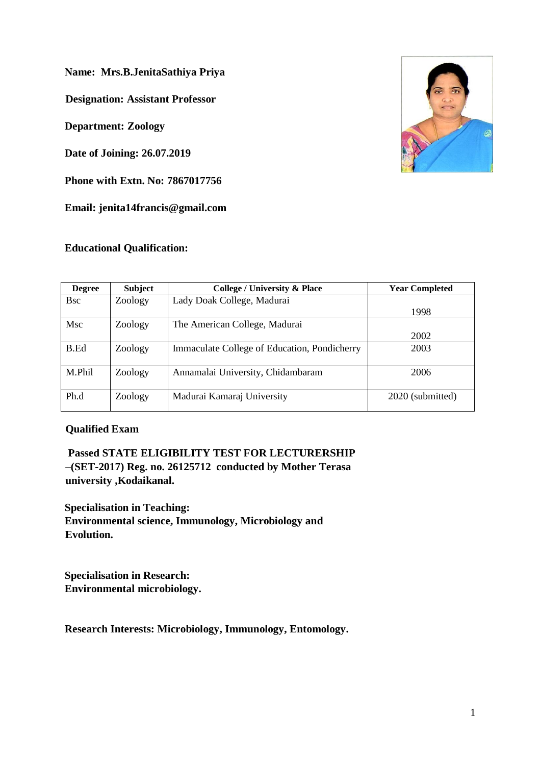**Name: Mrs.B.JenitaSathiya Priya**

**Designation: Assistant Professor** 

**Department: Zoology**

**Date of Joining: 26.07.2019**

**Phone with Extn. No: 7867017756**

**Email: jenita14francis@gmail.com**

# **Educational Qualification:**



| <b>Degree</b> | <b>Subject</b> | <b>College / University &amp; Place</b>      | <b>Year Completed</b> |
|---------------|----------------|----------------------------------------------|-----------------------|
| <b>B</b> sc   | Zoology        | Lady Doak College, Madurai                   |                       |
|               |                |                                              | 1998                  |
| Msc           | Zoology        | The American College, Madurai                |                       |
|               |                |                                              | 2002                  |
| B.Ed          | Zoology        | Immaculate College of Education, Pondicherry | 2003                  |
| M.Phil        | Zoology        | Annamalai University, Chidambaram            | 2006                  |
| Ph.d          | Zoology        | Madurai Kamaraj University                   | 2020 (submitted)      |

### **Qualified Exam**

**Passed STATE ELIGIBILITY TEST FOR LECTURERSHIP –(SET-2017) Reg. no. 26125712 conducted by Mother Terasa university ,Kodaikanal.**

**Specialisation in Teaching: Environmental science, Immunology, Microbiology and Evolution.**

**Specialisation in Research: Environmental microbiology.**

**Research Interests: Microbiology, Immunology, Entomology.**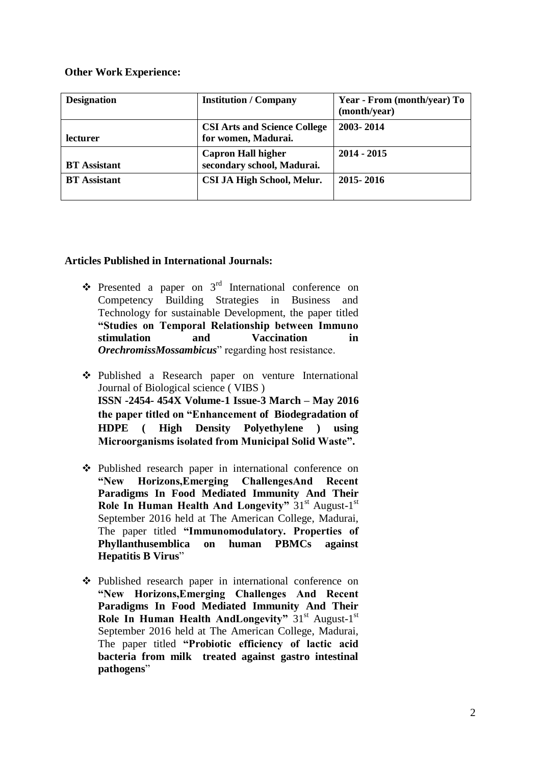### **Other Work Experience:**

| <b>Designation</b>  | <b>Institution / Company</b>                               | Year - From (month/year) To<br>(month/year) |
|---------------------|------------------------------------------------------------|---------------------------------------------|
| lecturer            | <b>CSI Arts and Science College</b><br>for women, Madurai. | 2003-2014                                   |
| <b>BT</b> Assistant | <b>Capron Hall higher</b><br>secondary school, Madurai.    | $2014 - 2015$                               |
| <b>BT</b> Assistant | CSI JA High School, Melur.                                 | 2015 - 2016                                 |

# **Articles Published in International Journals:**

- $\bullet$  Presented a paper on 3<sup>rd</sup> International conference on Competency Building Strategies in Business and Technology for sustainable Development, the paper titled **"Studies on Temporal Relationship between Immuno stimulation and Vaccination in**  *OrechromissMossambicus*" regarding host resistance.
- Published a Research paper on venture International Journal of Biological science ( VIBS ) **ISSN -2454- 454X Volume-1 Issue-3 March – May 2016 the paper titled on "Enhancement of Biodegradation of HDPE ( High Density Polyethylene ) using Microorganisms isolated from Municipal Solid Waste".**
- Published research paper in international conference on **"New Horizons,Emerging ChallengesAnd Recent Paradigms In Food Mediated Immunity And Their**  Role In Human Health And Longevity" 31<sup>st</sup> August-1<sup>st</sup> September 2016 held at The American College, Madurai, The paper titled **"Immunomodulatory. Properties of Phyllanthusemblica on human PBMCs against Hepatitis B Virus**"
- Published research paper in international conference on **"New Horizons,Emerging Challenges And Recent Paradigms In Food Mediated Immunity And Their**  Role In Human Health AndLongevity" 31<sup>st</sup> August-1<sup>st</sup> September 2016 held at The American College, Madurai, The paper titled **"Probiotic efficiency of lactic acid bacteria from milk treated against gastro intestinal pathogens**"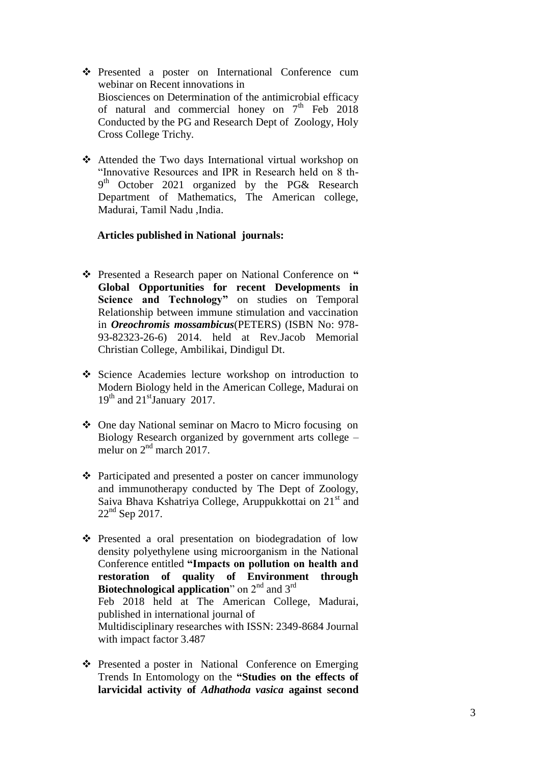- Presented a poster on International Conference cum webinar on Recent innovations in Biosciences on Determination of the antimicrobial efficacy of natural and commercial honey on  $7<sup>th</sup>$  Feb 2018 Conducted by the PG and Research Dept of Zoology, Holy Cross College Trichy.
- Attended the Two days International virtual workshop on "Innovative Resources and IPR in Research held on 8 th-9<sup>th</sup> October 2021 organized by the PG& Research Department of Mathematics, The American college, Madurai, Tamil Nadu ,India.

### **Articles published in National journals:**

- Presented a Research paper on National Conference on **" Global Opportunities for recent Developments in Science and Technology"** on studies on Temporal Relationship between immune stimulation and vaccination in *Oreochromis mossambicus*(PETERS) (ISBN No: 978- 93-82323-26-6) 2014. held at Rev.Jacob Memorial Christian College, Ambilikai, Dindigul Dt.
- Science Academies lecture workshop on introduction to Modern Biology held in the American College, Madurai on  $19<sup>th</sup>$  and  $21<sup>st</sup>$  January 2017.
- One day National seminar on Macro to Micro focusing on Biology Research organized by government arts college – melur on  $2<sup>nd</sup>$  march 2017.
- $\triangle$  Participated and presented a poster on cancer immunology and immunotherapy conducted by The Dept of Zoology, Saiva Bhava Kshatriya College, Aruppukkottai on 21<sup>st</sup> and  $22<sup>nd</sup>$  Sep 2017.
- $\hat{\mathbf{v}}$  Presented a oral presentation on biodegradation of low density polyethylene using microorganism in the National Conference entitled **"Impacts on pollution on health and restoration of quality of Environment through Biotechnological application**" on 2<sup>nd</sup> and 3<sup>rd</sup> Feb 2018 held at The American College, Madurai, published in international journal of Multidisciplinary researches with ISSN: 2349-8684 Journal with impact factor 3.487
- ❖ Presented a poster in National Conference on Emerging Trends In Entomology on the **"Studies on the effects of larvicidal activity of** *Adhathoda vasica* **against second**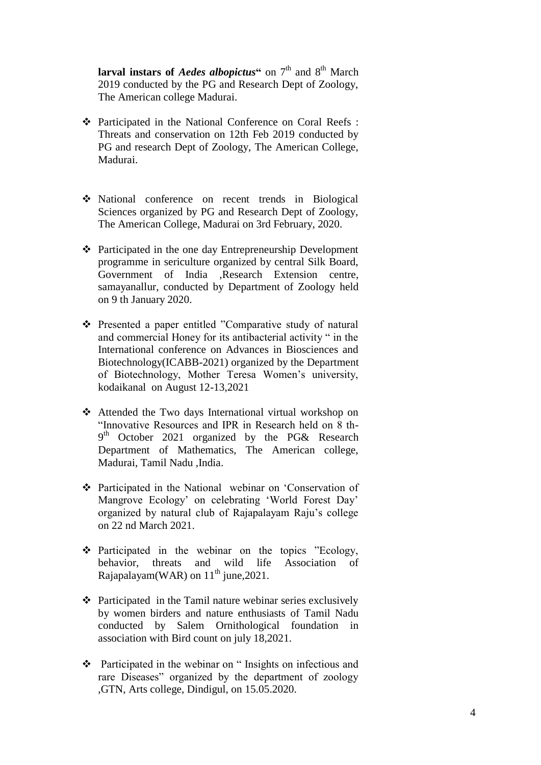**larval instars of** *Aedes albopictus*<sup>"</sup> on 7<sup>th</sup> and 8<sup>th</sup> March 2019 conducted by the PG and Research Dept of Zoology, The American college Madurai.

- Participated in the National Conference on Coral Reefs : Threats and conservation on 12th Feb 2019 conducted by PG and research Dept of Zoology, The American College, Madurai.
- National conference on recent trends in Biological Sciences organized by PG and Research Dept of Zoology, The American College, Madurai on 3rd February, 2020.
- Participated in the one day Entrepreneurship Development programme in sericulture organized by central Silk Board, Government of India ,Research Extension centre, samayanallur, conducted by Department of Zoology held on 9 th January 2020.
- Presented a paper entitled "Comparative study of natural and commercial Honey for its antibacterial activity " in the International conference on Advances in Biosciences and Biotechnology(ICABB-2021) organized by the Department of Biotechnology, Mother Teresa Women"s university, kodaikanal on August 12-13,2021
- Attended the Two days International virtual workshop on "Innovative Resources and IPR in Research held on 8 th-9<sup>th</sup> October 2021 organized by the PG& Research Department of Mathematics, The American college, Madurai, Tamil Nadu ,India.
- Participated in the National webinar on "Conservation of Mangrove Ecology" on celebrating "World Forest Day" organized by natural club of Rajapalayam Raju"s college on 22 nd March 2021.
- $\triangle$  Participated in the webinar on the topics "Ecology, behavior, threats and wild life Association of Rajapalayam(WAR) on  $11^{th}$  june, 2021.
- $\triangle$  Participated in the Tamil nature webinar series exclusively by women birders and nature enthusiasts of Tamil Nadu conducted by Salem Ornithological foundation in association with Bird count on july 18,2021.
- Participated in the webinar on " Insights on infectious and rare Diseases" organized by the department of zoology ,GTN, Arts college, Dindigul, on 15.05.2020.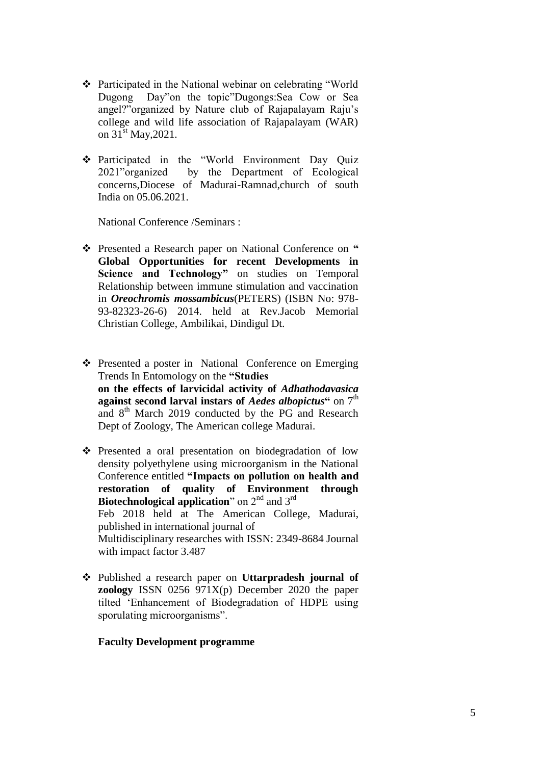- Participated in the National webinar on celebrating "World Dugong Day"on the topic"Dugongs:Sea Cow or Sea angel?"organized by Nature club of Rajapalayam Raju"s college and wild life association of Rajapalayam (WAR) on  $31^{\text{st}}$  May, 2021.
- Participated in the "World Environment Day Quiz 2021"organized by the Department of Ecological concerns,Diocese of Madurai-Ramnad,church of south India on 05.06.2021.

National Conference /Seminars :

- \* Presented a Research paper on National Conference on " **Global Opportunities for recent Developments in Science and Technology"** on studies on Temporal Relationship between immune stimulation and vaccination in *Oreochromis mossambicus*(PETERS) (ISBN No: 978- 93-82323-26-6) 2014. held at Rev.Jacob Memorial Christian College, Ambilikai, Dindigul Dt.
- Presented a poster in National Conference on Emerging Trends In Entomology on the **"Studies on the effects of larvicidal activity of** *Adhathodavasica* **against second larval instars of** *Aedes albopictus***<sup>"</sup> on 7<sup>th</sup>** and 8<sup>th</sup> March 2019 conducted by the PG and Research Dept of Zoology, The American college Madurai.
- Presented a oral presentation on biodegradation of low density polyethylene using microorganism in the National Conference entitled **"Impacts on pollution on health and restoration of quality of Environment through Biotechnological application**" on 2<sup>nd</sup> and 3<sup>rd</sup> Feb 2018 held at The American College, Madurai, published in international journal of Multidisciplinary researches with ISSN: 2349-8684 Journal with impact factor 3.487
- Published a research paper on **Uttarpradesh journal of zoology** ISSN 0256 971X(p) December 2020 the paper tilted "Enhancement of Biodegradation of HDPE using sporulating microorganisms".

### **Faculty Development programme**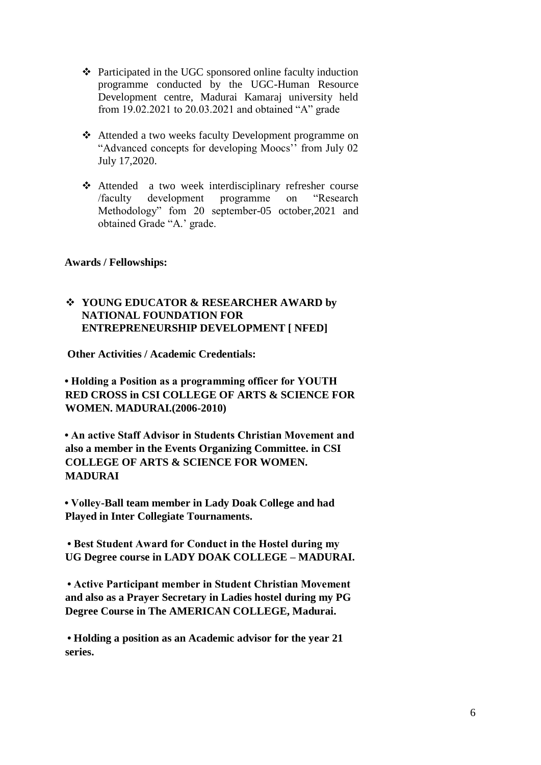- $\triangle$  Participated in the UGC sponsored online faculty induction programme conducted by the UGC-Human Resource Development centre, Madurai Kamaraj university held from 19.02.2021 to 20.03.2021 and obtained "A" grade
- Attended a two weeks faculty Development programme on "Advanced concepts for developing Moocs"" from July 02 July 17,2020.
- Attended a two week interdisciplinary refresher course /faculty development programme on "Research Methodology" fom 20 september-05 october,2021 and obtained Grade "A." grade.

### **Awards / Fellowships:**

# **YOUNG EDUCATOR & RESEARCHER AWARD by NATIONAL FOUNDATION FOR ENTREPRENEURSHIP DEVELOPMENT [ NFED]**

**Other Activities / Academic Credentials:** 

**• Holding a Position as a programming officer for YOUTH RED CROSS in CSI COLLEGE OF ARTS & SCIENCE FOR WOMEN. MADURAI.(2006-2010)** 

**• An active Staff Advisor in Students Christian Movement and also a member in the Events Organizing Committee. in CSI COLLEGE OF ARTS & SCIENCE FOR WOMEN. MADURAI**

**• Volley-Ball team member in Lady Doak College and had Played in Inter Collegiate Tournaments.**

**• Best Student Award for Conduct in the Hostel during my UG Degree course in LADY DOAK COLLEGE – MADURAI.**

**• Active Participant member in Student Christian Movement and also as a Prayer Secretary in Ladies hostel during my PG Degree Course in The AMERICAN COLLEGE, Madurai.**

**• Holding a position as an Academic advisor for the year 21 series.**